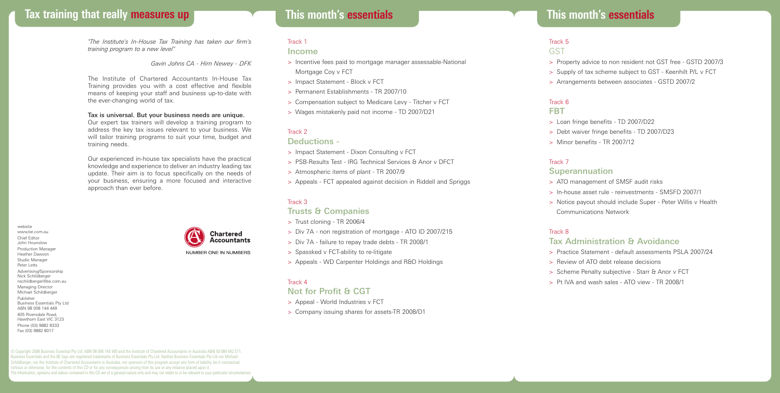# **Tax training that really measures up This month's essentials**

*"The Institute's In-House Tax Training has taken our firm's training program to a new level"*

*Gavin Johns CA - Hirn Newey - DFK*

The Institute of Chartered Accountants In-House Tax Training provides you with a cost effective and flexible means of keeping your staff and business up-to-date with the ever-changing world of tax.

#### Tax is universal. But your business needs are unique.

Our expert tax trainers will develop a training program to address the key tax issues relevant to your business. We will tailor training programs to suit your time, budget and training needs.

Our experienced in-house tax specialists have the practical knowledge and experience to deliver an industry leading tax update. Their aim is to focus specifically on the needs of your business, ensuring a more focused and interactive approach than ever before.

website www.be.com.au Chief Editor John Hounslow Production Manager Heather Dawson Studio Manager Peter Letts Advertising/Sponsorship Nick Schildberger nschildberger@be.com.au Managing Director Michael Schildberger Publisher Business Essentials Pty Ltd ABN 98 006 144 449 405 Riversdale Road, Hawthorn East VIC 3123 Phone (03) 9882 8333 Fax (03) 9882 8017

**Chartered Accountants** NUMBER ONE IN NUMBERS

# **This month's essentials**

## Track 1

#### Income

- > Incentive fees paid to mortgage manager assessable-National Mortgage Coy y FCT
- > Impact Statement Block v FCT
- > Permanent Establishments TR 2007/10
- > Compensation subject to Medicare Levy Titcher v FCT
- > Wages mistakenly paid not income TD 2007/D21

# Track 2

#### Deductions -

- > Impact Statement Dixon Consulting v FCT
- > PSB-Results Test IRG Technical Services & Anor y DFCT
- > Atmospheric items of plant TR 2007/9
- > Appeals FCT appealed against decision in Riddell and Spriggs

#### Track 3

#### Trusts & Companies

- > Trust cloning TR 2006/4
- > Div 7A non registration of mortgage ATO ID 2007/215
- > Div 7A failure to repay trade debts TR 2008/1
- > Spassked v FCT-ability to re-litigate
- > Appeals WD Carpenter Holdings and R&D Holdings

## Track 4

# Not for Profit & CGT

- > Appeal World Industries v FCT
- > Company issuing shares for assets-TR 2008/D1

# Track 5

# **GST**

- > Property advice to non resident not GST free GSTD 2007/3
- > Supply of tax scheme subject to GST Keenhilt P/L v FCT
- > Arrangements between associates GSTD 2007/2

# Track 6

# **FRT**

- > Loan fringe benefits TD 2007/D22
- > Debt waiver fringe benefits TD 2007/D23
- > Minor benefits TR 2007/12

## Track 7

## **Superannuation**

- > ATO management of SMSF audit risks
- > In-house asset rule reinvestments SMSFD 2007/1
- > Notice payout should include Super Peter Willis v Health Communications Network

#### Track 8

# Tax Administration & Avoidance

- > Practice Statement default assessments PSLA 2007/24
- > Review of ATO debt release decisions
- > Scheme Penalty subjective Starr & Anor v FCT
- > Pt IVA and wash sales ATO view TR 2008/1

© Copyright 2008 Business Essential Pty Ltd ABN 98 006 144 449 and the Institute of Chartered Accountants in Australia ABN 50 084 642 571. Business Essentials and the BE logo are registered trademarks of Business Essentials Pty Ltd. Neither Business Essentials Pty Ltd nor Michael Schildberger, nor the Institute of Chartered Accountants in Australia, nor sponsors of this program accept any form of liability, be it contractual, tortious or otherwise, for the contents of this CD or for any consequences arising from its use or any reliance placed upon it. The information, opinions and advice contained in this CD are of a general nature only and may not relate to or be relevant to your particular circumstances.